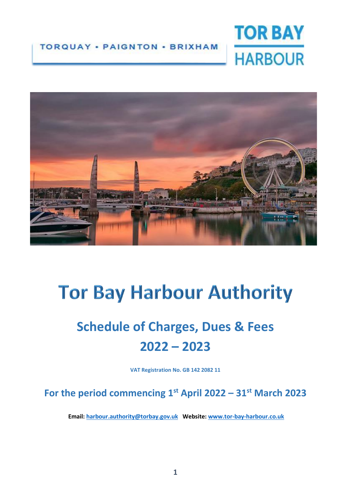#### **TORQUAY · PAIGNTON · BRIXHAM**





# **Tor Bay Harbour Authority**

## **Schedule of Charges, Dues & Fees 2022 – 2023**

**VAT Registration No. GB 142 2082 11**

**For the period commencing 1st April 2022 – 31st March 2023**

 **Email: [harbour.authority@torbay.gov.uk](mailto:harbour.authority@torbay.gov.uk) Website: [www.tor-bay-harbour.co.uk](http://www.tor-bay-harbour.co.uk/)**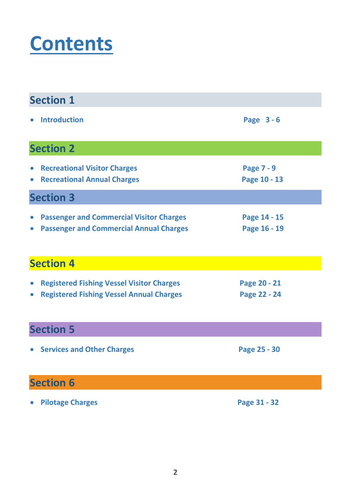# **Contents**

| <b>Section 1</b>       |                                                                                                     |                                   |  |
|------------------------|-----------------------------------------------------------------------------------------------------|-----------------------------------|--|
| $\bullet$              | <b>Introduction</b>                                                                                 | Page 3-6                          |  |
|                        | <b>Section 2</b>                                                                                    |                                   |  |
| $\bullet$              | • Recreational Visitor Charges<br><b>Recreational Annual Charges</b>                                | <b>Page 7 - 9</b><br>Page 10 - 13 |  |
|                        | <b>Section 3</b>                                                                                    |                                   |  |
| $\bullet$<br>$\bullet$ | <b>Passenger and Commercial Visitor Charges</b><br><b>Passenger and Commercial Annual Charges</b>   | Page 14 - 15<br>Page 16 - 19      |  |
|                        | <b>Section 4</b>                                                                                    |                                   |  |
| $\bullet$<br>$\bullet$ | <b>Registered Fishing Vessel Visitor Charges</b><br><b>Registered Fishing Vessel Annual Charges</b> | Page 20 - 21<br>Page 22 - 24      |  |
| <b>Section 5</b>       |                                                                                                     |                                   |  |
|                        | • Services and Other Charges                                                                        | Page 25 - 30                      |  |
| <b>Section 6</b>       |                                                                                                     |                                   |  |
| $\bullet$              | <b>Pilotage Charges</b>                                                                             | Page 31 - 32                      |  |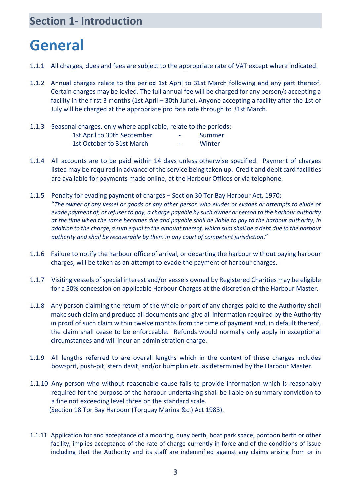#### **Section 1- Introduction**

### **General**

- 1.1.1 All charges, dues and fees are subject to the appropriate rate of VAT except where indicated.
- 1.1.2 Annual charges relate to the period 1st April to 31st March following and any part thereof. Certain charges may be levied. The full annual fee will be charged for any person/s accepting a facility in the first 3 months (1st April – 30th June). Anyone accepting a facility after the 1st of July will be charged at the appropriate pro rata rate through to 31st March.
- 1.1.3 Seasonal charges, only where applicable, relate to the periods: 1st April to 30th September - Summer 1st October to 31st March Theory Assembly 1st October to 31st March
- 1.1.4 All accounts are to be paid within 14 days unless otherwise specified. Payment of charges listed may be required in advance of the service being taken up. Credit and debit card facilities are available for payments made online, at the Harbour Offices or via telephone.
- 1.1.5 Penalty for evading payment of charges Section 30 Tor Bay Harbour Act, 1970: "The owner of any vessel or goods or any other person who eludes or evades or attempts to elude or evade payment of, or refuses to pay, a charge payable by such owner or person to the harbour authority at the time when the same becomes due and payable shall be liable to pay to the harbour authority, in addition to the charge, a sum equal to the amount thereof, which sum shall be a debt due to the harbour *authority and shall be recoverable by them in any court of competent jurisdiction*."
- 1.1.6 Failure to notify the harbour office of arrival, or departing the harbour without paying harbour charges, will be taken as an attempt to evade the payment of harbour charges.
- 1.1.7 Visiting vessels of special interest and/or vessels owned by Registered Charities may be eligible for a 50% concession on applicable Harbour Charges at the discretion of the Harbour Master.
- 1.1.8 Any person claiming the return of the whole or part of any charges paid to the Authority shall make such claim and produce all documents and give all information required by the Authority in proof of such claim within twelve months from the time of payment and, in default thereof, the claim shall cease to be enforceable. Refunds would normally only apply in exceptional circumstances and will incur an administration charge.
- 1.1.9 All lengths referred to are overall lengths which in the context of these charges includes bowsprit, push-pit, stern davit, and/or bumpkin etc. as determined by the Harbour Master.
- 1.1.10 Any person who without reasonable cause fails to provide information which is reasonably required for the purpose of the harbour undertaking shall be liable on summary conviction to a fine not exceeding level three on the standard scale. (Section 18 Tor Bay Harbour (Torquay Marina &c.) Act 1983).
- 1.1.11 Application for and acceptance of a mooring, quay berth, boat park space, pontoon berth or other facility, implies acceptance of the rate of charge currently in force and of the conditions of issue including that the Authority and its staff are indemnified against any claims arising from or in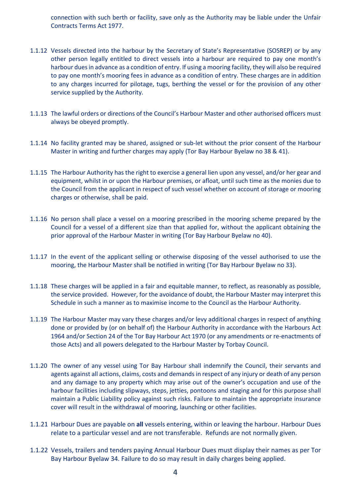connection with such berth or facility, save only as the Authority may be liable under the Unfair Contracts Terms Act 1977.

- 1.1.12 Vessels directed into the harbour by the Secretary of State's Representative (SOSREP) or by any other person legally entitled to direct vessels into a harbour are required to pay one month's harbour duesin advance as a condition of entry. If using a mooring facility, they will also be required to pay one month's mooring fees in advance as a condition of entry. These charges are in addition to any charges incurred for pilotage, tugs, berthing the vessel or for the provision of any other service supplied by the Authority.
- 1.1.13 The lawful orders or directions of the Council's Harbour Master and other authorised officers must always be obeyed promptly.
- 1.1.14 No facility granted may be shared, assigned or sub-let without the prior consent of the Harbour Master in writing and further charges may apply (Tor Bay Harbour Byelaw no 38 & 41).
- 1.1.15 The Harbour Authority has the right to exercise a general lien upon any vessel, and/or her gear and equipment, whilst in or upon the Harbour premises, or afloat, until such time as the monies due to the Council from the applicant in respect of such vessel whether on account of storage or mooring charges or otherwise, shall be paid.
- 1.1.16 No person shall place a vessel on a mooring prescribed in the mooring scheme prepared by the Council for a vessel of a different size than that applied for, without the applicant obtaining the prior approval of the Harbour Master in writing (Tor Bay Harbour Byelaw no 40).
- 1.1.17 In the event of the applicant selling or otherwise disposing of the vessel authorised to use the mooring, the Harbour Master shall be notified in writing (Tor Bay Harbour Byelaw no 33).
- 1.1.18 These charges will be applied in a fair and equitable manner, to reflect, as reasonably as possible, the service provided. However, for the avoidance of doubt, the Harbour Master may interpret this Schedule in such a manner as to maximise income to the Council as the Harbour Authority.
- 1.1.19 The Harbour Master may vary these charges and/or levy additional charges in respect of anything done or provided by (or on behalf of) the Harbour Authority in accordance with the Harbours Act 1964 and/or Section 24 of the Tor Bay Harbour Act 1970 (or any amendments or re-enactments of those Acts) and all powers delegated to the Harbour Master by Torbay Council.
- 1.1.20 The owner of any vessel using Tor Bay Harbour shall indemnify the Council, their servants and agents against all actions, claims, costs and demands in respect of any injury or death of any person and any damage to any property which may arise out of the owner's occupation and use of the harbour facilities including slipways, steps, jetties, pontoons and staging and for this purpose shall maintain a Public Liability policy against such risks. Failure to maintain the appropriate insurance cover will result in the withdrawal of mooring, launching or other facilities.
- 1.1.21 Harbour Dues are payable on **all** vessels entering, within or leaving the harbour. Harbour Dues relate to a particular vessel and are not transferable. Refunds are not normally given.
- 1.1.22 Vessels, trailers and tenders paying Annual Harbour Dues must display their names as per Tor Bay Harbour Byelaw 34. Failure to do so may result in daily charges being applied.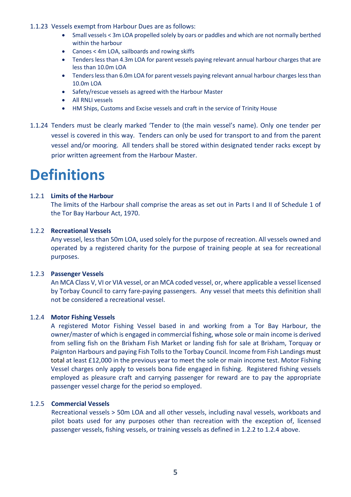#### 1.1.23 Vessels exempt from Harbour Dues are as follows:

- Small vessels < 3m LOA propelled solely by oars or paddles and which are not normally berthed within the harbour
- Canoes < 4m LOA, sailboards and rowing skiffs
- Tenders less than 4.3m LOA for parent vessels paying relevant annual harbour charges that are less than 10.0m LOA
- Tenders less than 6.0m LOA for parent vessels paying relevant annual harbour charges less than 10.0m LOA
- Safety/rescue vessels as agreed with the Harbour Master
- All RNLI vessels
- HM Ships, Customs and Excise vessels and craft in the service of Trinity House
- 1.1.24 Tenders must be clearly marked 'Tender to (the main vessel's name). Only one tender per vessel is covered in this way. Tenders can only be used for transport to and from the parent vessel and/or mooring. All tenders shall be stored within designated tender racks except by prior written agreement from the Harbour Master.

### **Definitions**

#### 1.2.1 **Limits of the Harbour**

The limits of the Harbour shall comprise the areas as set out in Parts I and II of Schedule 1 of the Tor Bay Harbour Act, 1970.

#### 1.2.2 **Recreational Vessels**

Any vessel, less than 50m LOA, used solely for the purpose of recreation. All vessels owned and operated by a registered charity for the purpose of training people at sea for recreational purposes.

#### 1.2.3 **Passenger Vessels**

An MCA Class V, VI or VIA vessel, or an MCA coded vessel, or, where applicable a vessel licensed by Torbay Council to carry fare-paying passengers. Any vessel that meets this definition shall not be considered a recreational vessel.

#### 1.2.4 **Motor Fishing Vessels**

A registered Motor Fishing Vessel based in and working from a Tor Bay Harbour, the owner/master of which is engaged in commercial fishing, whose sole or main income is derived from selling fish on the Brixham Fish Market or landing fish for sale at Brixham, Torquay or Paignton Harbours and paying Fish Tolls to the Torbay Council. Income from Fish Landings must total at least £12,000 in the previous year to meet the sole or main income test. Motor Fishing Vessel charges only apply to vessels bona fide engaged in fishing. Registered fishing vessels employed as pleasure craft and carrying passenger for reward are to pay the appropriate passenger vessel charge for the period so employed.

#### 1.2.5 **Commercial Vessels**

Recreational vessels > 50m LOA and all other vessels, including naval vessels, workboats and pilot boats used for any purposes other than recreation with the exception of, licensed passenger vessels, fishing vessels, or training vessels as defined in 1.2.2 to 1.2.4 above.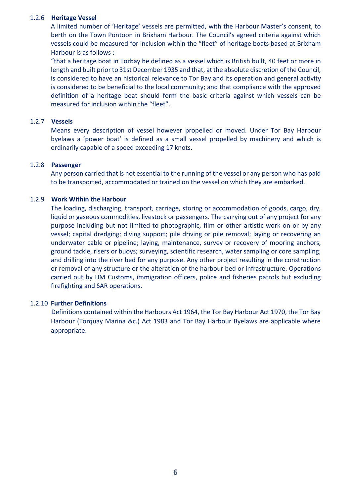#### 1.2.6 **Heritage Vessel**

A limited number of 'Heritage' vessels are permitted, with the Harbour Master's consent, to berth on the Town Pontoon in Brixham Harbour. The Council's agreed criteria against which vessels could be measured for inclusion within the "fleet" of heritage boats based at Brixham Harbour is as follows :-

"that a heritage boat in Torbay be defined as a vessel which is British built, 40 feet or more in length and built prior to 31st December 1935 and that, at the absolute discretion of the Council, is considered to have an historical relevance to Tor Bay and its operation and general activity is considered to be beneficial to the local community; and that compliance with the approved definition of a heritage boat should form the basic criteria against which vessels can be measured for inclusion within the "fleet".

#### 1.2.7 **Vessels**

Means every description of vessel however propelled or moved. Under Tor Bay Harbour byelaws a 'power boat' is defined as a small vessel propelled by machinery and which is ordinarily capable of a speed exceeding 17 knots.

#### 1.2.8 **Passenger**

Any person carried that is not essential to the running of the vessel or any person who has paid to be transported, accommodated or trained on the vessel on which they are embarked.

#### 1.2.9 **Work Within the Harbour**

The loading, discharging, transport, carriage, storing or accommodation of goods, cargo, dry, liquid or gaseous commodities, livestock or passengers. The carrying out of any project for any purpose including but not limited to photographic, film or other artistic work on or by any vessel; capital dredging; diving support; pile driving or pile removal; laying or recovering an underwater cable or pipeline; laying, maintenance, survey or recovery of mooring anchors, ground tackle, risers or buoys; surveying, scientific research, water sampling or core sampling; and drilling into the river bed for any purpose. Any other project resulting in the construction or removal of any structure or the alteration of the harbour bed or infrastructure. Operations carried out by HM Customs, immigration officers, police and fisheries patrols but excluding firefighting and SAR operations.

#### 1.2.10 **Further Definitions**

Definitions contained within the Harbours Act 1964, the Tor Bay Harbour Act 1970, the Tor Bay Harbour (Torquay Marina &c.) Act 1983 and Tor Bay Harbour Byelaws are applicable where appropriate.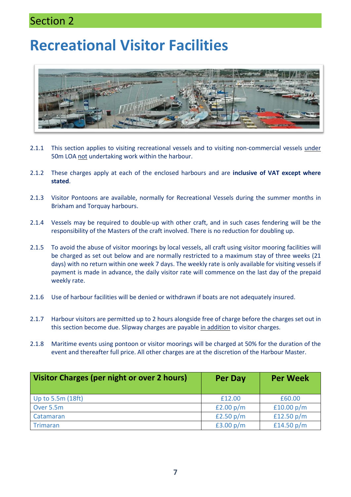#### Section 2

## **Recreational Visitor Facilities**



- 2.1.1 This section applies to visiting recreational vessels and to visiting non-commercial vessels under 50m LOA not undertaking work within the harbour.
- 2.1.2 These charges apply at each of the enclosed harbours and are **inclusive of VAT except where stated**.
- 2.1.3 Visitor Pontoons are available, normally for Recreational Vessels during the summer months in Brixham and Torquay harbours.
- 2.1.4 Vessels may be required to double-up with other craft, and in such cases fendering will be the responsibility of the Masters of the craft involved. There is no reduction for doubling up.
- 2.1.5 To avoid the abuse of visitor moorings by local vessels, all craft using visitor mooring facilities will be charged as set out below and are normally restricted to a maximum stay of three weeks (21 days) with no return within one week 7 days. The weekly rate is only available for visiting vessels if payment is made in advance, the daily visitor rate will commence on the last day of the prepaid weekly rate.
- 2.1.6 Use of harbour facilities will be denied or withdrawn if boats are not adequately insured.
- 2.1.7 Harbour visitors are permitted up to 2 hours alongside free of charge before the charges set out in this section become due. Slipway charges are payable in addition to visitor charges.
- 2.1.8 Maritime events using pontoon or visitor moorings will be charged at 50% for the duration of the event and thereafter full price. All other charges are at the discretion of the Harbour Master.

| <b>Visitor Charges (per night or over 2 hours)</b> | Per Day     | <b>Per Week</b> |
|----------------------------------------------------|-------------|-----------------|
| Up to 5.5m (18ft)                                  | £12.00      | £60.00          |
| Over 5.5m                                          | £2.00 $p/m$ | £10.00 $p/m$    |
| Catamaran                                          | £2.50 $p/m$ | £12.50 $p/m$    |
| Trimaran                                           | £3.00 $p/m$ | £14.50 $p/m$    |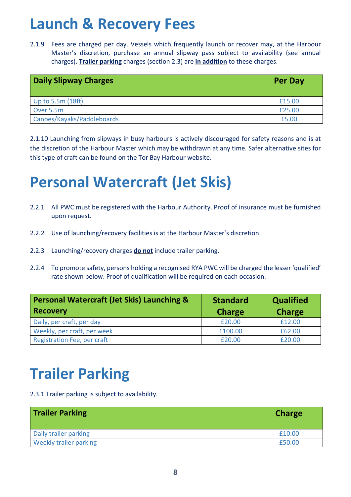## **Launch & Recovery Fees**

2.1.9 Fees are charged per day. Vessels which frequently launch or recover may, at the Harbour Master's discretion, purchase an annual slipway pass subject to availability (see annual charges). **Trailer parking** charges (section 2.3) are **in addition** to these charges.

| <b>Daily Slipway Charges</b> | <b>Per Day</b> |
|------------------------------|----------------|
| Up to 5.5m (18ft)            | £15.00         |
| Over 5.5m                    | £25.00         |
| Canoes/Kayaks/Paddleboards   | £5.00          |

2.1.10 Launching from slipways in busy harbours is actively discouraged for safety reasons and is at the discretion of the Harbour Master which may be withdrawn at any time. Safer alternative sites for this type of craft can be found on the Tor Bay Harbour website.

## **Personal Watercraft (Jet Skis)**

- 2.2.1 All PWC must be registered with the Harbour Authority. Proof of insurance must be furnished upon request.
- 2.2.2 Use of launching/recovery facilities is at the Harbour Master's discretion.
- 2.2.3 Launching/recovery charges **do not** include trailer parking.
- 2.2.4 To promote safety, persons holding a recognised RYA PWC will be charged the lesser 'qualified' rate shown below. Proof of qualification will be required on each occasion.

| <b>Personal Watercraft (Jet Skis) Launching &amp;</b> | <b>Standard</b> | <b>Qualified</b> |  |
|-------------------------------------------------------|-----------------|------------------|--|
| <b>Recovery</b>                                       | <b>Charge</b>   | <b>Charge</b>    |  |
| Daily, per craft, per day                             | £20.00          | £12.00           |  |
| Weekly, per craft, per week                           | £100.00         | £62.00           |  |
| <b>Registration Fee, per craft</b>                    | £20.00          | £20.00           |  |

## **Trailer Parking**

2.3.1 Trailer parking is subject to availability.

| <b>Trailer Parking</b> | <b>Charge</b> |
|------------------------|---------------|
| Daily trailer parking  | £10.00        |
| Weekly trailer parking | £50.00        |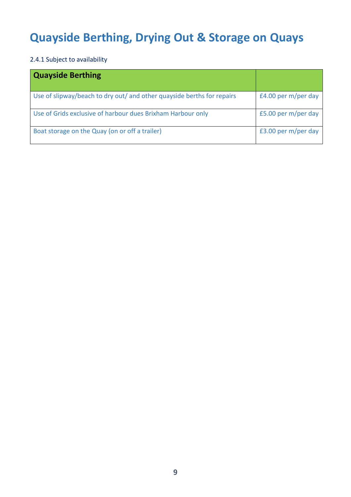### **Quayside Berthing, Drying Out & Storage on Quays**

2.4.1 Subject to availability

| <b>Quayside Berthing</b>                                               |                     |
|------------------------------------------------------------------------|---------------------|
| Use of slipway/beach to dry out/ and other quayside berths for repairs | £4.00 per m/per day |
| Use of Grids exclusive of harbour dues Brixham Harbour only            | £5.00 per m/per day |
| Boat storage on the Quay (on or off a trailer)                         | £3.00 per m/per day |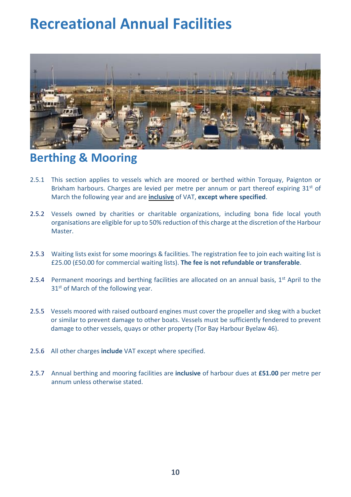## **Recreational Annual Facilities**



#### **Berthing & Mooring**

- 2.5.1 This section applies to vessels which are moored or berthed within Torquay, Paignton or Brixham harbours. Charges are levied per metre per annum or part thereof expiring  $31<sup>st</sup>$  of March the following year and are **inclusive** of VAT, **except where specified**.
- 2.5.2 Vessels owned by charities or charitable organizations, including bona fide local youth organisations are eligible for up to 50% reduction of this charge at the discretion of the Harbour Master.
- 2.5.3 Waiting lists exist for some moorings & facilities. The registration fee to join each waiting list is £25.00 (£50.00 for commercial waiting lists). **The fee is not refundable or transferable**.
- 2.5.4 Permanent moorings and berthing facilities are allocated on an annual basis,  $1<sup>st</sup>$  April to the 31<sup>st</sup> of March of the following year.
- 2.5.5 Vessels moored with raised outboard engines must cover the propeller and skeg with a bucket or similar to prevent damage to other boats. Vessels must be sufficiently fendered to prevent damage to other vessels, quays or other property (Tor Bay Harbour Byelaw 46).
- 2.5.6 All other charges **include** VAT except where specified.
- 2.5.7 Annual berthing and mooring facilities are **inclusive** of harbour dues at **£51.00** per metre per annum unless otherwise stated.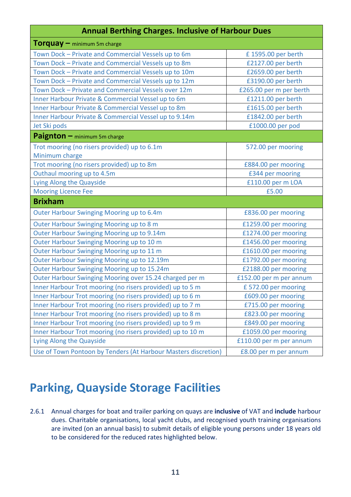#### **Annual Berthing Charges. Inclusive of Harbour Dues**

| <b>Torquay</b> – minimum 5m charge                             |                         |
|----------------------------------------------------------------|-------------------------|
| Town Dock - Private and Commercial Vessels up to 6m            | £1595.00 per berth      |
| Town Dock - Private and Commercial Vessels up to 8m            | £2127.00 per berth      |
| Town Dock - Private and Commercial Vessels up to 10m           | £2659.00 per berth      |
| Town Dock - Private and Commercial Vessels up to 12m           | £3190.00 per berth      |
| Town Dock - Private and Commercial Vessels over 12m            | £265.00 per m per berth |
| Inner Harbour Private & Commercial Vessel up to 6m             | £1211.00 per berth      |
| Inner Harbour Private & Commercial Vessel up to 8m             | £1615.00 per berth      |
| Inner Harbour Private & Commercial Vessel up to 9.14m          | £1842.00 per berth      |
| Jet Ski pods                                                   | £1000.00 per pod        |
| Paignton - minimum 5m charge                                   |                         |
| Trot mooring (no risers provided) up to 6.1m                   | 572.00 per mooring      |
| Minimum charge                                                 |                         |
| Trot mooring (no risers provided) up to 8m                     | £884.00 per mooring     |
| Outhaul mooring up to 4.5m                                     | £344 per mooring        |
| Lying Along the Quayside                                       | £110.00 per m LOA       |
| <b>Mooring Licence Fee</b>                                     | £5.00                   |
| <b>Brixham</b>                                                 |                         |
| Outer Harbour Swinging Mooring up to 6.4m                      | £836.00 per mooring     |
| Outer Harbour Swinging Mooring up to 8 m                       | £1259.00 per mooring    |
| Outer Harbour Swinging Mooring up to 9.14m                     | £1274.00 per mooring    |
| Outer Harbour Swinging Mooring up to 10 m                      | £1456.00 per mooring    |
| Outer Harbour Swinging Mooring up to 11 m                      | £1610.00 per mooring    |
| Outer Harbour Swinging Mooring up to 12.19m                    | £1792.00 per mooring    |
| Outer Harbour Swinging Mooring up to 15.24m                    | £2188.00 per mooring    |
| Outer Harbour Swinging Mooring over 15.24 charged per m        | £152.00 per m per annum |
| Inner Harbour Trot mooring (no risers provided) up to 5 m      | £572.00 per mooring     |
| Inner Harbour Trot mooring (no risers provided) up to 6 m      | £609.00 per mooring     |
| Inner Harbour Trot mooring (no risers provided) up to 7 m      | £715.00 per mooring     |
| Inner Harbour Trot mooring (no risers provided) up to 8 m      | £823.00 per mooring     |
| Inner Harbour Trot mooring (no risers provided) up to 9 m      | £849.00 per mooring     |
| Inner Harbour Trot mooring (no risers provided) up to 10 m     | £1059.00 per mooring    |
| Lying Along the Quayside                                       | £110.00 per m per annum |
| Use of Town Pontoon by Tenders (At Harbour Masters discretion) | £8.00 per m per annum   |

#### **Parking, Quayside Storage Facilities**

2.6.1 Annual charges for boat and trailer parking on quays are **inclusive** of VAT and **include** harbour dues. Charitable organisations, local yacht clubs, and recognised youth training organisations are invited (on an annual basis) to submit details of eligible young persons under 18 years old to be considered for the reduced rates highlighted below.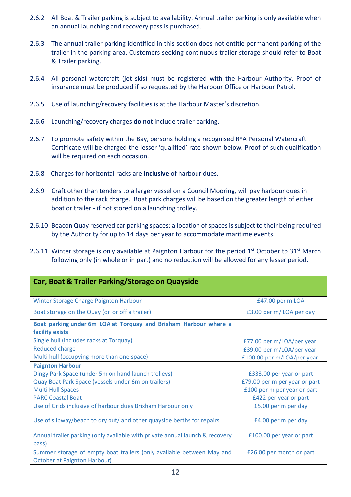- 2.6.2 All Boat & Trailer parking is subject to availability. Annual trailer parking is only available when an annual launching and recovery pass is purchased.
- 2.6.3 The annual trailer parking identified in this section does not entitle permanent parking of the trailer in the parking area. Customers seeking continuous trailer storage should refer to Boat & Trailer parking.
- 2.6.4 All personal watercraft (jet skis) must be registered with the Harbour Authority. Proof of insurance must be produced if so requested by the Harbour Office or Harbour Patrol.
- 2.6.5 Use of launching/recovery facilities is at the Harbour Master's discretion.
- 2.6.6 Launching/recovery charges **do not** include trailer parking.
- 2.6.7 To promote safety within the Bay, persons holding a recognised RYA Personal Watercraft Certificate will be charged the lesser 'qualified' rate shown below. Proof of such qualification will be required on each occasion.
- 2.6.8 Charges for horizontal racks are **inclusive** of harbour dues.
- 2.6.9 Craft other than tenders to a larger vessel on a Council Mooring, will pay harbour dues in addition to the rack charge. Boat park charges will be based on the greater length of either boat or trailer - if not stored on a launching trolley.
- 2.6.10 Beacon Quay reserved car parking spaces: allocation of spaces is subject to their being required by the Authority for up to 14 days per year to accommodate maritime events.
- 2.6.11 Winter storage is only available at Paignton Harbour for the period 1<sup>st</sup> October to 31<sup>st</sup> March following only (in whole or in part) and no reduction will be allowed for any lesser period.

| Car, Boat & Trailer Parking/Storage on Quayside                                                              |                               |
|--------------------------------------------------------------------------------------------------------------|-------------------------------|
| Winter Storage Charge Paignton Harbour                                                                       | £47.00 per m LOA              |
| Boat storage on the Quay (on or off a trailer)                                                               | £3.00 per m/LOA per day       |
| Boat parking under 6m LOA at Torquay and Brixham Harbour where a<br>facility exists                          |                               |
| Single hull (includes racks at Torquay)                                                                      | £77.00 per m/LOA/per year     |
| <b>Reduced charge</b>                                                                                        | £39.00 per m/LOA/per year     |
| Multi hull (occupying more than one space)                                                                   | £100.00 per m/LOA/per year    |
| <b>Paignton Harbour</b>                                                                                      |                               |
| Dingy Park Space (under 5m on hand launch trolleys)                                                          | £333.00 per year or part      |
| Quay Boat Park Space (vessels under 6m on trailers)                                                          | £79.00 per m per year or part |
| <b>Multi Hull Spaces</b>                                                                                     | £100 per m per year or part   |
| <b>PARC Coastal Boat</b>                                                                                     | £422 per year or part         |
| Use of Grids inclusive of harbour dues Brixham Harbour only                                                  | £5.00 per m per day           |
| Use of slipway/beach to dry out/ and other quayside berths for repairs                                       | £4.00 per m per day           |
| Annual trailer parking (only available with private annual launch & recovery                                 | £100.00 per year or part      |
| pass)                                                                                                        |                               |
| Summer storage of empty boat trailers (only available between May and<br><b>October at Paignton Harbour)</b> | £26.00 per month or part      |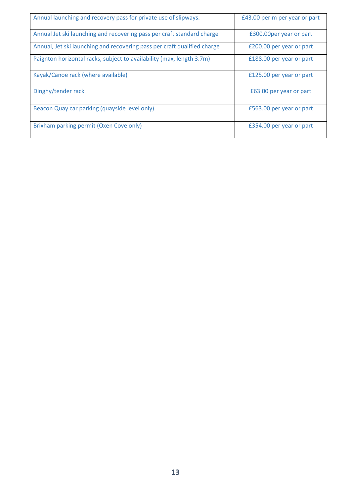| Annual launching and recovery pass for private use of slipways.          | £43.00 per m per year or part |
|--------------------------------------------------------------------------|-------------------------------|
| Annual Jet ski launching and recovering pass per craft standard charge   | £300.00per year or part       |
| Annual, Jet ski launching and recovering pass per craft qualified charge | £200.00 per year or part      |
| Paignton horizontal racks, subject to availability (max, length 3.7m)    | £188.00 per year or part      |
| Kayak/Canoe rack (where available)                                       | £125.00 per year or part      |
| Dinghy/tender rack                                                       | £63.00 per year or part       |
| Beacon Quay car parking (quayside level only)                            | £563.00 per year or part      |
| Brixham parking permit (Oxen Cove only)                                  | £354.00 per year or part      |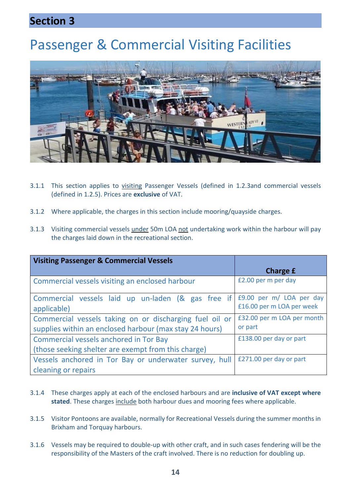#### **Section 3**

## Passenger & Commercial Visiting Facilities



- 3.1.1 This section applies to visiting Passenger Vessels (defined in 1.2.3and commercial vessels (defined in 1.2.5). Prices are **exclusive** of VAT.
- 3.1.2 Where applicable, the charges in this section include mooring/quayside charges.
- 3.1.3 Visiting commercial vessels under 50m LOA not undertaking work within the harbour will pay the charges laid down in the recreational section.

| <b>Visiting Passenger &amp; Commercial Vessels</b>      |                            |
|---------------------------------------------------------|----------------------------|
|                                                         | <b>Charge £</b>            |
| Commercial vessels visiting an enclosed harbour         | £2.00 per m per day        |
| Commercial vessels laid up un-laden (& gas free if      | £9.00 per m/ LOA per day   |
| applicable)                                             | £16.00 per m LOA per week  |
| Commercial vessels taking on or discharging fuel oil or | £32.00 per m LOA per month |
| supplies within an enclosed harbour (max stay 24 hours) | or part                    |
| Commercial vessels anchored in Tor Bay                  | £138.00 per day or part    |
| (those seeking shelter are exempt from this charge)     |                            |
| Vessels anchored in Tor Bay or underwater survey, hull  | £271.00 per day or part    |
| cleaning or repairs                                     |                            |

- 3.1.4 These charges apply at each of the enclosed harbours and are **inclusive of VAT except where** stated. These charges include both harbour dues and mooring fees where applicable.
- 3.1.5 Visitor Pontoons are available, normally for Recreational Vessels during the summer monthsin Brixham and Torquay harbours.
- 3.1.6 Vessels may be required to double-up with other craft, and in such cases fendering will be the responsibility of the Masters of the craft involved. There is no reduction for doubling up.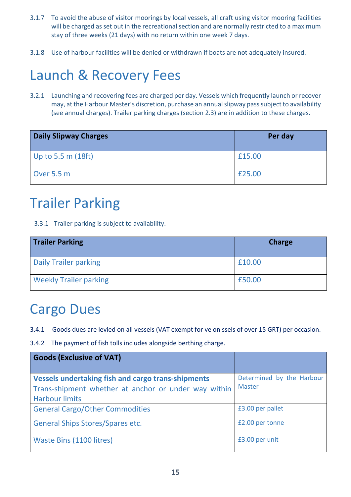- 3.1.7 To avoid the abuse of visitor moorings by local vessels, all craft using visitor mooring facilities will be charged as set out in the recreational section and are normally restricted to a maximum stay of three weeks (21 days) with no return within one week 7 days.
- 3.1.8 Use of harbour facilities will be denied or withdrawn if boats are not adequately insured.

## Launch & Recovery Fees

3.2.1 Launching and recovering fees are charged per day. Vessels which frequently launch or recover may, at the Harbour Master's discretion, purchase an annualslipway passsubject to availability (see annual charges). Trailer parking charges (section 2.3) are in addition to these charges.

| <b>Daily Slipway Charges</b> | Per day |
|------------------------------|---------|
| Up to 5.5 m $(18ft)$         | £15.00  |
| Over 5.5 m                   | £25.00  |

## Trailer Parking

3.3.1 Trailer parking is subject to availability.

| <b>Trailer Parking</b>        | <b>Charge</b> |
|-------------------------------|---------------|
| <b>Daily Trailer parking</b>  | £10.00        |
| <b>Weekly Trailer parking</b> | £50.00        |

### Cargo Dues

- 3.4.1 Goods dues are levied on all vessels (VAT exempt for ve on ssels of over 15 GRT) per occasion.
- 3.4.2 The payment of fish tolls includes alongside berthing charge.

| <b>Goods (Exclusive of VAT)</b>                                                                                                            |                                            |
|--------------------------------------------------------------------------------------------------------------------------------------------|--------------------------------------------|
| <b>Vessels undertaking fish and cargo trans-shipments</b><br>Trans-shipment whether at anchor or under way within<br><b>Harbour limits</b> | Determined by the Harbour<br><b>Master</b> |
| <b>General Cargo/Other Commodities</b>                                                                                                     | £3.00 per pallet                           |
| <b>General Ships Stores/Spares etc.</b>                                                                                                    | £2.00 per tonne                            |
| Waste Bins (1100 litres)                                                                                                                   | £3.00 per unit                             |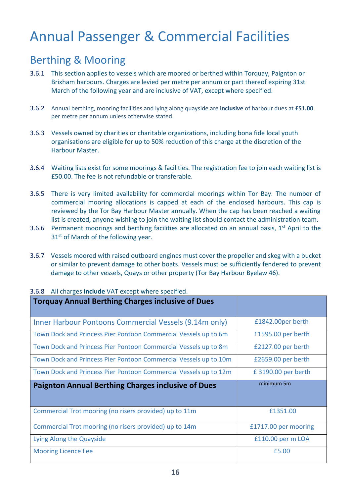## Annual Passenger & Commercial Facilities

#### Berthing & Mooring

- 3.6.1 This section applies to vessels which are moored or berthed within Torquay, Paignton or Brixham harbours. Charges are levied per metre per annum or part thereof expiring 31st March of the following year and are inclusive of VAT, except where specified.
- 3.6.2 Annual berthing, mooring facilities and lying along quayside are **inclusive** of harbour dues at **£51.00**  per metre per annum unless otherwise stated.
- 3.6.3 Vessels owned by charities or charitable organizations, including bona fide local youth organisations are eligible for up to 50% reduction of this charge at the discretion of the Harbour Master.
- 3.6.4 Waiting lists exist for some moorings & facilities. The registration fee to join each waiting list is £50.00. The fee is not refundable or transferable.
- 3.6.5 There is very limited availability for commercial moorings within Tor Bay. The number of commercial mooring allocations is capped at each of the enclosed harbours. This cap is reviewed by the Tor Bay Harbour Master annually. When the cap has been reached a waiting list is created, anyone wishing to join the waiting list should contact the administration team.
- 3.6.6 Permanent moorings and berthing facilities are allocated on an annual basis,  $1<sup>st</sup>$  April to the 31<sup>st</sup> of March of the following year.
- 3.6.7 Vessels moored with raised outboard engines must cover the propeller and skeg with a bucket or similar to prevent damage to other boats. Vessels must be sufficiently fendered to prevent damage to other vessels, Quays or other property (Tor Bay Harbour Byelaw 46).

| <b>Torquay Annual Berthing Charges inclusive of Dues</b>         |                      |
|------------------------------------------------------------------|----------------------|
| Inner Harbour Pontoons Commercial Vessels (9.14m only)           | £1842.00per berth    |
| Town Dock and Princess Pier Pontoon Commercial Vessels up to 6m  | £1595.00 per berth   |
| Town Dock and Princess Pier Pontoon Commercial Vessels up to 8m  | £2127.00 per berth   |
| Town Dock and Princess Pier Pontoon Commercial Vessels up to 10m | £2659.00 per berth   |
| Town Dock and Princess Pier Pontoon Commercial Vessels up to 12m | £3190.00 per berth   |
|                                                                  |                      |
| <b>Paignton Annual Berthing Charges inclusive of Dues</b>        | minimum 5m           |
|                                                                  |                      |
| Commercial Trot mooring (no risers provided) up to 11m           | £1351.00             |
| Commercial Trot mooring (no risers provided) up to 14m           | £1717.00 per mooring |
| Lying Along the Quayside                                         | £110.00 per m LOA    |

#### 3.6.8 All charges **include** VAT except where specified.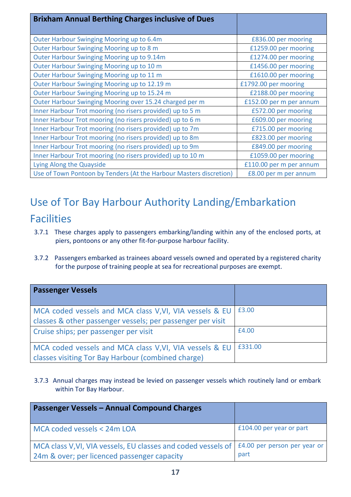| <b>Brixham Annual Berthing Charges inclusive of Dues</b>           |                         |
|--------------------------------------------------------------------|-------------------------|
| Outer Harbour Swinging Mooring up to 6.4m                          | £836.00 per mooring     |
| Outer Harbour Swinging Mooring up to 8 m                           | £1259.00 per mooring    |
| Outer Harbour Swinging Mooring up to 9.14m                         | £1274.00 per mooring    |
| Outer Harbour Swinging Mooring up to 10 m                          | £1456.00 per mooring    |
| Outer Harbour Swinging Mooring up to 11 m                          | £1610.00 per mooring    |
| Outer Harbour Swinging Mooring up to 12.19 m                       | £1792.00 per mooring    |
| Outer Harbour Swinging Mooring up to 15.24 m                       | £2188.00 per mooring    |
| Outer Harbour Swinging Mooring over 15.24 charged per m            | £152.00 per m per annum |
| Inner Harbour Trot mooring (no risers provided) up to 5 m          | £572.00 per mooring     |
| Inner Harbour Trot mooring (no risers provided) up to 6 m          | £609.00 per mooring     |
| Inner Harbour Trot mooring (no risers provided) up to 7m           | £715.00 per mooring     |
| Inner Harbour Trot mooring (no risers provided) up to 8m           | £823.00 per mooring     |
| Inner Harbour Trot mooring (no risers provided) up to 9m           | £849.00 per mooring     |
| Inner Harbour Trot mooring (no risers provided) up to 10 m         | £1059.00 per mooring    |
| Lying Along the Quayside                                           | £110.00 per m per annum |
| Use of Town Pontoon by Tenders (At the Harbour Masters discretion) | £8.00 per m per annum   |

#### Use of Tor Bay Harbour Authority Landing/Embarkation

#### Facilities

- 3.7.1 These charges apply to passengers embarking/landing within any of the enclosed ports, at piers, pontoons or any other fit-for-purpose harbour facility.
- 3.7.2 Passengers embarked as trainees aboard vessels owned and operated by a registered charity for the purpose of training people at sea for recreational purposes are exempt.

| <b>Passenger Vessels</b>                                                                                              |         |
|-----------------------------------------------------------------------------------------------------------------------|---------|
| MCA coded vessels and MCA class V, VI, VIA vessels & EU<br>classes & other passenger vessels; per passenger per visit | £3.00   |
| Cruise ships; per passenger per visit                                                                                 | £4.00   |
| MCA coded vessels and MCA class V, VI, VIA vessels & EU<br>classes visiting Tor Bay Harbour (combined charge)         | £331.00 |

3.7.3 Annual charges may instead be levied on passenger vessels which routinely land or embark within Tor Bay Harbour.

| <b>Passenger Vessels – Annual Compound Charges</b>                                                                                            |                          |
|-----------------------------------------------------------------------------------------------------------------------------------------------|--------------------------|
| MCA coded vessels < 24m LOA                                                                                                                   | £104.00 per year or part |
| MCA class V, VI, VIA vessels, EU classes and coded vessels of   £4.00 per person per year or  <br>24m & over; per licenced passenger capacity | part                     |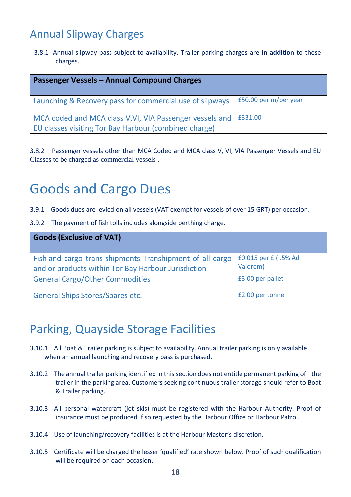#### Annual Slipway Charges

3.8.1 Annual slipway pass subject to availability. Trailer parking charges are **in addition** to these charges.

| Passenger Vessels - Annual Compound Charges                                                                       |                       |
|-------------------------------------------------------------------------------------------------------------------|-----------------------|
| Launching & Recovery pass for commercial use of slipways                                                          | £50.00 per m/per year |
| MCA coded and MCA class V, VI, VIA Passenger vessels and<br>EU classes visiting Tor Bay Harbour (combined charge) | £331.00               |

3.8.2 Passenger vessels other than MCA Coded and MCA class V, VI, VIA Passenger Vessels and EU Classes to be charged as commercial vessels .

## Goods and Cargo Dues

- 3.9.1 Goods dues are levied on all vessels (VAT exempt for vessels of over 15 GRT) per occasion.
- 3.9.2 The payment of fish tolls includes alongside berthing charge.

| <b>Goods (Exclusive of VAT)</b>                                                                                 |                                   |
|-----------------------------------------------------------------------------------------------------------------|-----------------------------------|
| Fish and cargo trans-shipments Transhipment of all cargo<br>and or products within Tor Bay Harbour Jurisdiction | £0.015 per £ (I.5% Ad<br>Valorem) |
| <b>General Cargo/Other Commodities</b>                                                                          | £3.00 per pallet                  |
| <b>General Ships Stores/Spares etc.</b>                                                                         | £2.00 per tonne                   |

#### Parking, Quayside Storage Facilities

- 3.10.1 All Boat & Trailer parking is subject to availability. Annual trailer parking is only available when an annual launching and recovery pass is purchased.
- 3.10.2 The annual trailer parking identified in thissection does not entitle permanent parking of the trailer in the parking area. Customers seeking continuous trailer storage should refer to Boat & Trailer parking.
- 3.10.3 All personal watercraft (jet skis) must be registered with the Harbour Authority. Proof of insurance must be produced if so requested by the Harbour Office or Harbour Patrol.
- 3.10.4 Use of launching/recovery facilities is at the Harbour Master's discretion.
- 3.10.5 Certificate will be charged the lesser 'qualified' rate shown below. Proof of such qualification will be required on each occasion.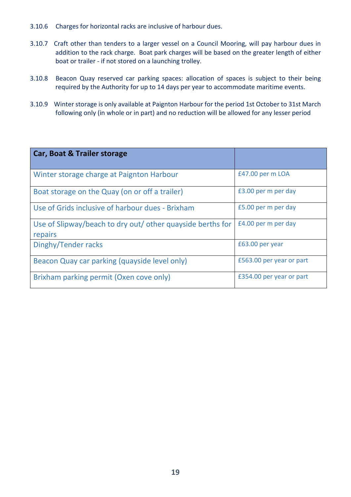- 3.10.6 Charges for horizontal racks are inclusive of harbour dues.
- 3.10.7 Craft other than tenders to a larger vessel on a Council Mooring, will pay harbour dues in addition to the rack charge. Boat park charges will be based on the greater length of either boat or trailer - if not stored on a launching trolley.
- 3.10.8 Beacon Quay reserved car parking spaces: allocation of spaces is subject to their being required by the Authority for up to 14 days per year to accommodate maritime events.
- 3.10.9 Winter storage is only available at Paignton Harbour for the period 1st October to 31st March following only (in whole or in part) and no reduction will be allowed for any lesser period

| <b>Car, Boat &amp; Trailer storage</b>                                |                          |
|-----------------------------------------------------------------------|--------------------------|
| Winter storage charge at Paignton Harbour                             | £47.00 per m LOA         |
| Boat storage on the Quay (on or off a trailer)                        | £3.00 per m per day      |
| Use of Grids inclusive of harbour dues - Brixham                      | £5.00 per m per day      |
| Use of Slipway/beach to dry out/ other quayside berths for<br>repairs | £4.00 per m per day      |
| Dinghy/Tender racks                                                   | £63.00 per year          |
| Beacon Quay car parking (quayside level only)                         | £563.00 per year or part |
| Brixham parking permit (Oxen cove only)                               | £354.00 per year or part |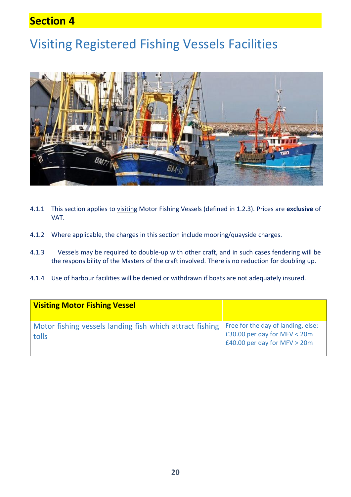#### **Section 4**

### Visiting Registered Fishing Vessels Facilities



- 4.1.1 This section applies to visiting Motor Fishing Vessels (defined in 1.2.3). Prices are **exclusive** of VAT.
- 4.1.2 Where applicable, the charges in this section include mooring/quayside charges.
- 4.1.3 Vessels may be required to double-up with other craft, and in such cases fendering will be the responsibility of the Masters of the craft involved. There is no reduction for doubling up.
- 4.1.4 Use of harbour facilities will be denied or withdrawn if boats are not adequately insured.

| <b>Visiting Motor Fishing Vessel</b>                              |                                                                                                      |
|-------------------------------------------------------------------|------------------------------------------------------------------------------------------------------|
| Motor fishing vessels landing fish which attract fishing<br>tolls | Free for the day of landing, else:<br>£30.00 per day for MFV < 20m<br>£40.00 per day for MFV $>$ 20m |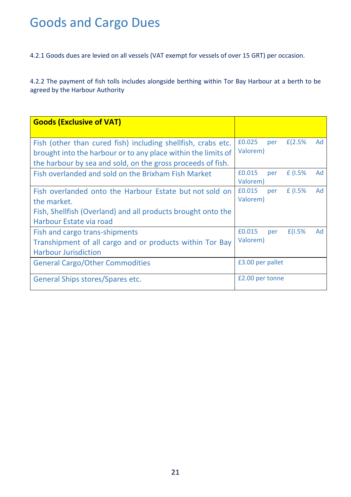## Goods and Cargo Dues

4.2.1 Goods dues are levied on all vessels (VAT exempt for vessels of over 15 GRT) per occasion.

4.2.2 The payment of fish tolls includes alongside berthing within Tor Bay Harbour at a berth to be agreed by the Harbour Authority

| <b>Goods (Exclusive of VAT)</b>                                                                                                                                                              |                    |     |        |    |
|----------------------------------------------------------------------------------------------------------------------------------------------------------------------------------------------|--------------------|-----|--------|----|
| Fish (other than cured fish) including shellfish, crabs etc.<br>brought into the harbour or to any place within the limits of<br>the harbour by sea and sold, on the gross proceeds of fish. | £0.025<br>Valorem) | per | E(2.5% | Ad |
| Fish overlanded and sold on the Brixham Fish Market                                                                                                                                          | £0.015<br>Valorem) | per | f(1.5% | Ad |
| Fish overlanded onto the Harbour Estate but not sold on<br>the market.<br>Fish, Shellfish (Overland) and all products brought onto the<br>Harbour Estate via road                            | £0.015<br>Valorem) | per | f(1.5% | Ad |
| Fish and cargo trans-shipments<br>Transhipment of all cargo and or products within Tor Bay<br><b>Harbour Jurisdiction</b>                                                                    | £0.015<br>Valorem) | per | E(1.5% | Ad |
| <b>General Cargo/Other Commodities</b>                                                                                                                                                       | £3.00 per pallet   |     |        |    |
| General Ships stores/Spares etc.                                                                                                                                                             | £2.00 per tonne    |     |        |    |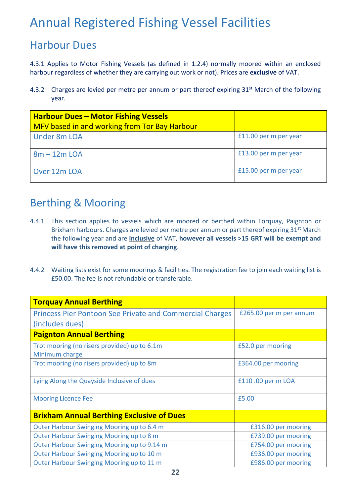### Annual Registered Fishing Vessel Facilities

#### Harbour Dues

4.3.1 Applies to Motor Fishing Vessels (as defined in 1.2.4) normally moored within an enclosed harbour regardless of whether they are carrying out work or not). Prices are **exclusive** of VAT.

4.3.2 Charges are levied per metre per annum or part thereof expiring 31<sup>st</sup> March of the following year.

| <b>Harbour Dues - Motor Fishing Vessels</b><br>MFV based in and working from Tor Bay Harbour |                       |
|----------------------------------------------------------------------------------------------|-----------------------|
| <b>Under 8m LOA</b>                                                                          | £11.00 per m per year |
| $8m - 12m$ LOA                                                                               | £13.00 per m per year |
| Over 12m LOA                                                                                 | £15.00 per m per year |

#### Berthing & Mooring

- 4.4.1 This section applies to vessels which are moored or berthed within Torquay, Paignton or Brixham harbours. Charges are levied per metre per annum or part thereof expiring 31<sup>st</sup> March the following year and are **inclusive** of VAT, **however all vessels >15 GRT will be exempt and will have this removed at point of charging**.
- 4.4.2 Waiting lists exist for some moorings & facilities. The registration fee to join each waiting list is £50.00. The fee is not refundable or transferable.

| <b>Torquay Annual Berthing</b>                                                     |                         |  |  |
|------------------------------------------------------------------------------------|-------------------------|--|--|
| <b>Princess Pier Pontoon See Private and Commercial Charges</b><br>(includes dues) | £265.00 per m per annum |  |  |
| <b>Paignton Annual Berthing</b>                                                    |                         |  |  |
| Trot mooring (no risers provided) up to 6.1m<br>Minimum charge                     | £52.0 per mooring       |  |  |
| Trot mooring (no risers provided) up to 8m                                         | £364.00 per mooring     |  |  |
| Lying Along the Quayside Inclusive of dues                                         | £110.00 per m LOA       |  |  |
| <b>Mooring Licence Fee</b>                                                         | £5.00                   |  |  |
| <b>Brixham Annual Berthing Exclusive of Dues</b>                                   |                         |  |  |
| Outer Harbour Swinging Mooring up to 6.4 m                                         | £316.00 per mooring     |  |  |
| Outer Harbour Swinging Mooring up to 8 m                                           | £739.00 per mooring     |  |  |
| Outer Harbour Swinging Mooring up to 9.14 m                                        | £754.00 per mooring     |  |  |
| Outer Harbour Swinging Mooring up to 10 m                                          | £936.00 per mooring     |  |  |
| Outer Harbour Swinging Mooring up to 11 m                                          | £986.00 per mooring     |  |  |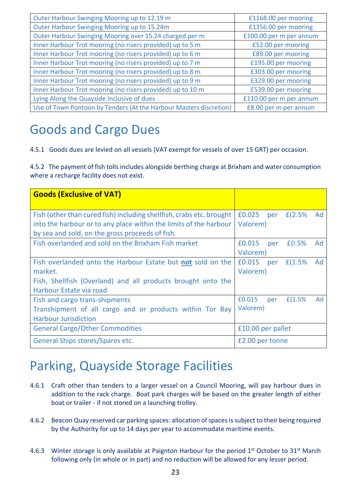| Outer Harbour Swinging Mooring up to 12.19 m                       | £1168.00 per mooring    |
|--------------------------------------------------------------------|-------------------------|
| Outer Harbour Swinging Mooring up to 15.24m                        | £1356.00 per mooring    |
| Outer Harbour Swinging Mooring over 15.24 charged per m            | £100.00 per m per annum |
| Inner Harbour Trot mooring (no risers provided) up to 5 m          | £52.00 per mooring      |
| Inner Harbour Trot mooring (no risers provided) up to 6 m          | £89.00 per mooring      |
| Inner Harbour Trot mooring (no risers provided) up to 7 m          | £195.00 per mooring     |
| Inner Harbour Trot mooring (no risers provided) up to 8 m          | £303.00 per mooring     |
| Inner Harbour Trot mooring (no risers provided) up to 9 m          | £329.00 per mooring     |
| Inner Harbour Trot mooring (no risers provided) up to 10 m         | £539.00 per mooring     |
| Lying Along the Quayside Inclusive of dues                         | £110.00 per m per annum |
| Use of Town Pontoon by Tenders (At the Harbour Masters discretion) | £8.00 per m per annum   |

### Goods and Cargo Dues

4.5.1 Goods dues are levied on all vessels (VAT exempt for vessels of over 15 GRT) per occasion.

4.5.2 The payment of fish tolls includes alongside berthing charge at Brixham and water consumption where a recharge facility does not exist.

| <b>Goods (Exclusive of VAT)</b>                                                                                                                                                              |                    |     |            |    |
|----------------------------------------------------------------------------------------------------------------------------------------------------------------------------------------------|--------------------|-----|------------|----|
| Fish (other than cured fish) including shellfish, crabs etc. brought<br>into the harbour or to any place within the limits of the harbour<br>by sea and sold, on the gross proceeds of fish. | £0.025<br>Valorem) | per | E(2.5%     | Ad |
| Fish overlanded and sold on the Brixham Fish market                                                                                                                                          | £0.015<br>Valorem) | per | E(1.5%     | Ad |
| Fish overlanded onto the Harbour Estate but not sold on the<br>market.<br>Fish, Shellfish (Overland) and all products brought onto the<br>Harbour Estate via road                            | £0.015<br>Valorem) |     | per £(1.5% | Ad |
| Fish and cargo trans-shipments<br>Transhipment of all cargo and or products within Tor Bay<br><b>Harbour Jurisdiction</b>                                                                    | £0.015<br>Valorem) | per | f(1.5%     | Ad |
| <b>General Cargo/Other Commodities</b>                                                                                                                                                       | £10.00 per pallet  |     |            |    |
| General Ships stores/Spares etc.                                                                                                                                                             | £2.00 per tonne    |     |            |    |

### Parking, Quayside Storage Facilities

- 4.6.1 Craft other than tenders to a larger vessel on a Council Mooring, will pay harbour dues in addition to the rack charge. Boat park charges will be based on the greater length of either boat or trailer - if not stored on a launching trolley.
- 4.6.2 Beacon Quay reserved car parking spaces: allocation of spaces is subject to their being required by the Authority for up to 14 days per year to accommodate maritime events.
- 4.6.3 Winter storage is only available at Paignton Harbour for the period 1<sup>st</sup> October to 31<sup>st</sup> March following only (in whole or in part) and no reduction will be allowed for any lesser period.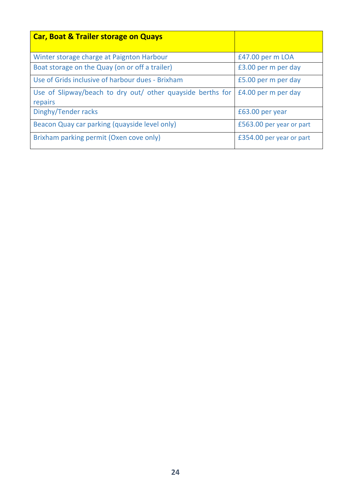| <b>Car, Boat &amp; Trailer storage on Quays</b>                       |                          |
|-----------------------------------------------------------------------|--------------------------|
| Winter storage charge at Paignton Harbour                             | £47.00 per m LOA         |
| Boat storage on the Quay (on or off a trailer)                        | £3.00 per m per day      |
| Use of Grids inclusive of harbour dues - Brixham                      | £5.00 per m per day      |
| Use of Slipway/beach to dry out/ other quayside berths for<br>repairs | £4.00 per m per day      |
| Dinghy/Tender racks                                                   | £63.00 per year          |
| Beacon Quay car parking (quayside level only)                         | £563.00 per year or part |
| Brixham parking permit (Oxen cove only)                               | £354.00 per year or part |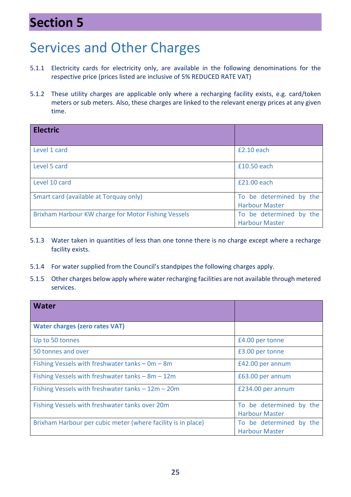### **Section 5**

## Services and Other Charges

- 5.1.1 Electricity cards for electricity only, are available in the following denominations for the respective price (prices listed are inclusive of 5% REDUCED RATE VAT)
- 5.1.2 These utility charges are applicable only where a recharging facility exists, e.g. card/token meters or sub meters. Also, these charges are linked to the relevant energy prices at any given time.

| <b>Electric</b>                                     |                                                  |
|-----------------------------------------------------|--------------------------------------------------|
| Level 1 card                                        | $£2.10$ each                                     |
| Level 5 card                                        | £10.50 each                                      |
| Level 10 card                                       | £21.00 each                                      |
| Smart card (available at Torquay only)              | To be determined by the<br><b>Harbour Master</b> |
| Brixham Harbour KW charge for Motor Fishing Vessels | To be determined by the<br><b>Harbour Master</b> |

- 5.1.3 Water taken in quantities of less than one tonne there is no charge except where a recharge facility exists.
- 5.1.4 For water supplied from the Council's standpipes the following charges apply.
- 5.1.5 Other charges below apply where water recharging facilities are not available through metered services.

| <b>Water</b>                                                 |                                                  |
|--------------------------------------------------------------|--------------------------------------------------|
| <b>Water charges (zero rates VAT)</b>                        |                                                  |
| Up to 50 tonnes                                              | £4.00 per tonne                                  |
| 50 tonnes and over                                           | £3.00 per tonne                                  |
| Fishing Vessels with freshwater tanks $- 0m - 8m$            | £42.00 per annum                                 |
| Fishing Vessels with freshwater tanks - 8m - 12m             | £63.00 per annum                                 |
| Fishing Vessels with freshwater tanks $-12m - 20m$           | £234.00 per annum                                |
| Fishing Vessels with freshwater tanks over 20m               | To be determined by the<br><b>Harbour Master</b> |
| Brixham Harbour per cubic meter (where facility is in place) | To be determined by the<br><b>Harbour Master</b> |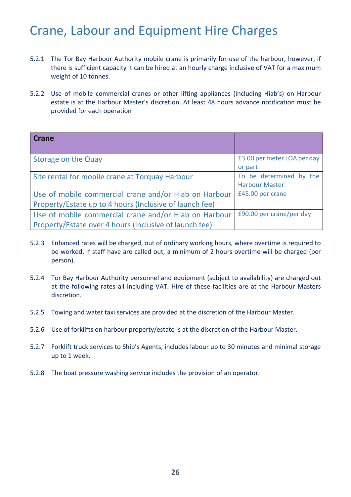### Crane, Labour and Equipment Hire Charges

- 5.2.1 The Tor Bay Harbour Authority mobile crane is primarily for use of the harbour, however, if there is sufficient capacity it can be hired at an hourly charge inclusive of VAT for a maximum weight of 10 tonnes.
- 5.2.2 Use of mobile commercial cranes or other lifting appliances (including Hiab's) on Harbour estate is at the Harbour Master's discretion. At least 48 hours advance notification must be provided for each operation

| Crane                                                   |                             |
|---------------------------------------------------------|-----------------------------|
|                                                         |                             |
| Storage on the Quay                                     | £3.00 per meter LOA per day |
|                                                         | or part                     |
| Site rental for mobile crane at Torquay Harbour         | To be determined by the     |
|                                                         | <b>Harbour Master</b>       |
| Use of mobile commercial crane and/or Hiab on Harbour   | £45.00 per crane            |
| Property/Estate up to 4 hours (Inclusive of launch fee) |                             |
| Use of mobile commercial crane and/or Hiab on Harbour   | £90.00 per crane/per day    |
| Property/Estate over 4 hours (Inclusive of launch fee)  |                             |

- 5.2.3 Enhanced rates will be charged, out of ordinary working hours, where overtime is required to be worked. If staff have are called out, a minimum of 2 hours overtime will be charged (per person).
- 5.2.4 Tor Bay Harbour Authority personnel and equipment (subject to availability) are charged out at the following rates all including VAT. Hire of these facilities are at the Harbour Masters discretion.
- 5.2.5 Towing and water taxi services are provided at the discretion of the Harbour Master.
- 5.2.6 Use of forklifts on harbour property/estate is at the discretion of the Harbour Master.
- 5.2.7 Forklift truck services to Ship's Agents, includes labour up to 30 minutes and minimal storage up to 1 week.
- 5.2.8 The boat pressure washing service includes the provision of an operator.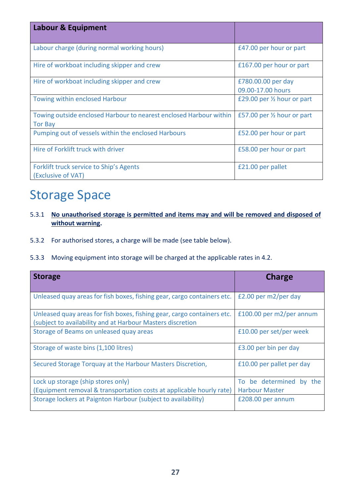| <b>Labour &amp; Equipment</b>                                                        |                                         |
|--------------------------------------------------------------------------------------|-----------------------------------------|
| Labour charge (during normal working hours)                                          | £47.00 per hour or part                 |
| Hire of workboat including skipper and crew                                          | £167.00 per hour or part                |
| Hire of workboat including skipper and crew                                          | £780.00.00 per day<br>09.00-17.00 hours |
| <b>Towing within enclosed Harbour</b>                                                | £29.00 per $\frac{1}{2}$ hour or part   |
| Towing outside enclosed Harbour to nearest enclosed Harbour within<br><b>Tor Bay</b> | £57.00 per $\frac{1}{2}$ hour or part   |
| Pumping out of vessels within the enclosed Harbours                                  | £52.00 per hour or part                 |
| Hire of Forklift truck with driver                                                   | £58.00 per hour or part                 |
| Forklift truck service to Ship's Agents<br>(Exclusive of VAT)                        | £21.00 per pallet                       |

### Storage Space

- 5.3.1 **No unauthorised storage is permitted and items may and will be removed and disposed of without warning.**
- 5.3.2 For authorised stores, a charge will be made (see table below).
- 5.3.3 Moving equipment into storage will be charged at the applicable rates in 4.2.

| <b>Storage</b>                                                                                                                        | <b>Charge</b>             |
|---------------------------------------------------------------------------------------------------------------------------------------|---------------------------|
| Unleased quay areas for fish boxes, fishing gear, cargo containers etc.                                                               | £2.00 per $m2/per$ day    |
| Unleased quay areas for fish boxes, fishing gear, cargo containers etc.<br>(subject to availability and at Harbour Masters discretion | £100.00 per m2/per annum  |
| Storage of Beams on unleased quay areas                                                                                               | £10.00 per set/per week   |
| Storage of waste bins (1,100 litres)                                                                                                  | £3.00 per bin per day     |
| Secured Storage Torquay at the Harbour Masters Discretion,                                                                            | £10.00 per pallet per day |
| Lock up storage (ship stores only)                                                                                                    | To be determined by the   |
| (Equipment removal & transportation costs at applicable hourly rate)                                                                  | <b>Harbour Master</b>     |
| Storage lockers at Paignton Harbour (subject to availability)                                                                         | £208.00 per annum         |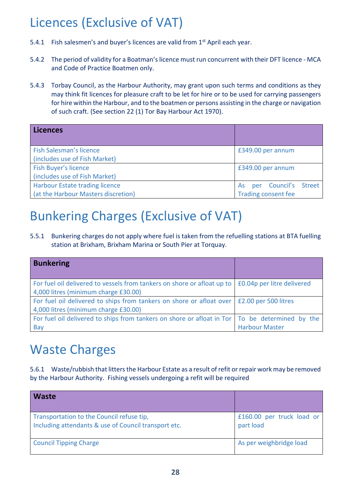## Licences (Exclusive of VAT)

- 5.4.1 Fish salesmen's and buyer's licences are valid from 1<sup>st</sup> April each year.
- 5.4.2 The period of validity for a Boatman's licence must run concurrent with their DFT licence MCA and Code of Practice Boatmen only.
- 5.4.3 Torbay Council, as the Harbour Authority, may grant upon such terms and conditions as they may think fit licences for pleasure craft to be let for hire or to be used for carrying passengers for hire within the Harbour, and to the boatmen or persons assisting in the charge or navigation of such craft. (See section 22 (1) Tor Bay Harbour Act 1970).

| Licences                            |                            |
|-------------------------------------|----------------------------|
| Fish Salesman's licence             | £349.00 per annum          |
| (includes use of Fish Market)       |                            |
| <b>Fish Buyer's licence</b>         | £349.00 per annum          |
| (includes use of Fish Market)       |                            |
| Harbour Estate trading licence      | per Council's Street<br>As |
| (at the Harbour Masters discretion) | <b>Trading consent fee</b> |

### Bunkering Charges (Exclusive of VAT)

5.5.1 Bunkering charges do not apply where fuel is taken from the refuelling stations at BTA fuelling station at Brixham, Brixham Marina or South Pier at Torquay.

| <b>Bunkering</b>                                                                                                |                            |
|-----------------------------------------------------------------------------------------------------------------|----------------------------|
| For fuel oil delivered to vessels from tankers on shore or afloat up to<br>4,000 litres (minimum charge £30.00) | £0.04p per litre delivered |
| For fuel oil delivered to ships from tankers on shore or afloat over<br>4,000 litres (minimum charge £30.00)    | £2.00 per 500 litres       |
| For fuel oil delivered to ships from tankers on shore or afloat in Tor   To be determined by the<br>Bay         | <b>Harbour Master</b>      |

### Waste Charges

5.6.1 Waste/rubbish that litters the Harbour Estate as a result of refit or repair work may be removed by the Harbour Authority. Fishing vessels undergoing a refit will be required

| <b>Waste</b>                                                                                      |                                        |
|---------------------------------------------------------------------------------------------------|----------------------------------------|
| Transportation to the Council refuse tip,<br>Including attendants & use of Council transport etc. | £160.00 per truck load or<br>part load |
| <b>Council Tipping Charge</b>                                                                     | As per weighbridge load                |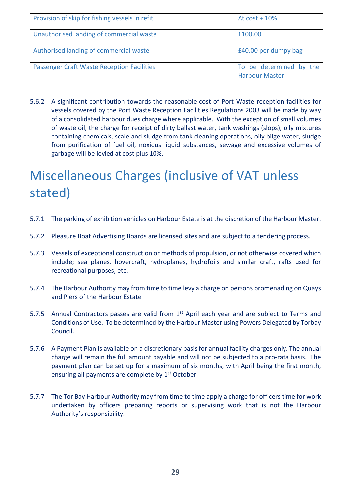| Provision of skip for fishing vessels in refit    | At $cost + 10%$                                  |
|---------------------------------------------------|--------------------------------------------------|
| Unauthorised landing of commercial waste          | £100.00                                          |
| Authorised landing of commercial waste            | £40.00 per dumpy bag                             |
| <b>Passenger Craft Waste Reception Facilities</b> | To be determined by the<br><b>Harbour Master</b> |

5.6.2 A significant contribution towards the reasonable cost of Port Waste reception facilities for vessels covered by the Port Waste Reception Facilities Regulations 2003 will be made by way of a consolidated harbour dues charge where applicable. With the exception of small volumes of waste oil, the charge for receipt of dirty ballast water, tank washings (slops), oily mixtures containing chemicals, scale and sludge from tank cleaning operations, oily bilge water, sludge from purification of fuel oil, noxious liquid substances, sewage and excessive volumes of garbage will be levied at cost plus 10%.

## Miscellaneous Charges (inclusive of VAT unless stated)

- 5.7.1 The parking of exhibition vehicles on Harbour Estate is at the discretion of the Harbour Master.
- 5.7.2 Pleasure Boat Advertising Boards are licensed sites and are subject to a tendering process.
- 5.7.3 Vessels of exceptional construction or methods of propulsion, or not otherwise covered which include; sea planes, hovercraft, hydroplanes, hydrofoils and similar craft, rafts used for recreational purposes, etc.
- 5.7.4 The Harbour Authority may from time to time levy a charge on persons promenading on Quays and Piers of the Harbour Estate
- 5.7.5 Annual Contractors passes are valid from 1<sup>st</sup> April each year and are subject to Terms and Conditions of Use. To be determined by the Harbour Master using Powers Delegated by Torbay Council.
- 5.7.6 A Payment Plan is available on a discretionary basis for annual facility charges only. The annual charge will remain the full amount payable and will not be subjected to a pro-rata basis. The payment plan can be set up for a maximum of six months, with April being the first month, ensuring all payments are complete by 1<sup>st</sup> October.
- 5.7.7 The Tor Bay Harbour Authority may from time to time apply a charge for officers time for work undertaken by officers preparing reports or supervising work that is not the Harbour Authority's responsibility.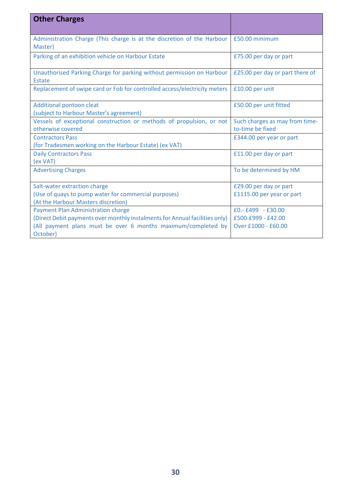| <b>Other Charges</b>                                                        |                                 |
|-----------------------------------------------------------------------------|---------------------------------|
|                                                                             |                                 |
| Administration Charge (This charge is at the discretion of the Harbour      | £50.00 minimum                  |
| Master)                                                                     |                                 |
| Parking of an exhibition vehicle on Harbour Estate                          | £75.00 per day or part          |
|                                                                             |                                 |
| Unauthorised Parking Charge for parking without permission on Harbour       | £25.00 per day or part there of |
| Estate                                                                      |                                 |
| Replacement of swipe card or Fob for controlled access/electricity meters   | £10.00 per unit                 |
|                                                                             |                                 |
| Additional pontoon cleat                                                    | £50.00 per unit fitted          |
| (subject to Harbour Master's agreement)                                     |                                 |
| Vessels of exceptional construction or methods of propulsion, or not        | Such charges as may from time-  |
| otherwise covered                                                           | to-time be fixed                |
| <b>Contractors Pass</b>                                                     | £344.00 per year or part        |
| (for Tradesmen working on the Harbour Estate) (ex VAT)                      |                                 |
| <b>Daily Contractors Pass</b>                                               | £11.00 per day or part          |
| (ex VAT)                                                                    |                                 |
| <b>Advertising Charges</b>                                                  | To be determined by HM          |
|                                                                             |                                 |
| Salt-water extraction charge                                                | £29.00 per day or part          |
| (Use of quays to pump water for commercial purposes)                        | £1115.00 per year or part       |
| (At the Harbour Masters discretion)                                         |                                 |
| <b>Payment Plan Administration charge</b>                                   | $E0.-E499 - E30.00$             |
| (Direct Debit payments over monthly instalments for Annual facilities only) | £500-£999 - £42.00              |
| (All payment plans must be over 6 months maximum/completed by               | Over £1000 - £60.00             |
| October)                                                                    |                                 |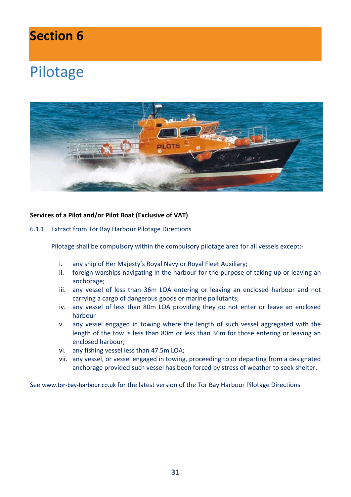### **Section 6**

## Pilotage



#### **Services of a Pilot and/or Pilot Boat (Exclusive of VAT)**

6.1.1 Extract from Tor Bay Harbour Pilotage Directions

Pilotage shall be compulsory within the compulsory pilotage area for all vessels except:-

- i. any ship of Her Majesty's Royal Navy or Royal Fleet Auxiliary;
- ii. foreign warships navigating in the harbour for the purpose of taking up or leaving an anchorage;
- iii. any vessel of less than 36m LOA entering or leaving an enclosed harbour and not carrying a cargo of dangerous goods or marine pollutants;
- iv. any vessel of less than 80m LOA providing they do not enter or leave an enclosed harbour
- v. any vessel engaged in towing where the length of such vessel aggregated with the length of the tow is less than 80m or less than 36m for those entering or leaving an enclosed harbour;
- vi. any fishing vessel less than 47.5m LOA;
- vii. any vessel, or vessel engaged in towing, proceeding to or departing from a designated anchorage provided such vessel has been forced by stress of weather to seek shelter.

See [www.tor-bay-harbour.co.uk](http://www.tor-bay-harbour.co.uk/) for the latest version of the Tor Bay Harbour Pilotage Directions